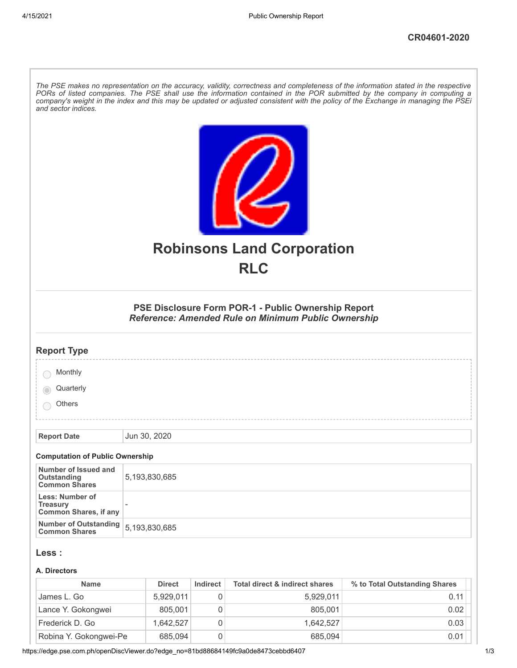| The PSE makes no representation on the accuracy, validity, correctness and completeness of the information stated in the respective<br>PORs of listed companies. The PSE shall use the information contained in the POR submitted by the company in computing a<br>company's weight in the index and this may be updated or adjusted consistent with the policy of the Exchange in managing the PSEi<br>and sector indices. |  |               |          |                                                 |                               |  |
|-----------------------------------------------------------------------------------------------------------------------------------------------------------------------------------------------------------------------------------------------------------------------------------------------------------------------------------------------------------------------------------------------------------------------------|--|---------------|----------|-------------------------------------------------|-------------------------------|--|
|                                                                                                                                                                                                                                                                                                                                                                                                                             |  |               |          | <b>Robinsons Land Corporation</b><br><b>RLC</b> |                               |  |
| PSE Disclosure Form POR-1 - Public Ownership Report<br>Reference: Amended Rule on Minimum Public Ownership                                                                                                                                                                                                                                                                                                                  |  |               |          |                                                 |                               |  |
| <b>Report Type</b>                                                                                                                                                                                                                                                                                                                                                                                                          |  |               |          |                                                 |                               |  |
| Monthly                                                                                                                                                                                                                                                                                                                                                                                                                     |  |               |          |                                                 |                               |  |
| Quarterly                                                                                                                                                                                                                                                                                                                                                                                                                   |  |               |          |                                                 |                               |  |
| <b>Others</b>                                                                                                                                                                                                                                                                                                                                                                                                               |  |               |          |                                                 |                               |  |
| <b>Report Date</b>                                                                                                                                                                                                                                                                                                                                                                                                          |  | Jun 30, 2020  |          |                                                 |                               |  |
| <b>Computation of Public Ownership</b>                                                                                                                                                                                                                                                                                                                                                                                      |  |               |          |                                                 |                               |  |
| Number of Issued and<br>Outstanding<br><b>Common Shares</b>                                                                                                                                                                                                                                                                                                                                                                 |  | 5,193,830,685 |          |                                                 |                               |  |
| Less: Number of<br><b>Treasury</b><br><b>Common Shares, if any</b>                                                                                                                                                                                                                                                                                                                                                          |  |               |          |                                                 |                               |  |
| <b>Number of Outstanding</b><br><b>Common Shares</b>                                                                                                                                                                                                                                                                                                                                                                        |  | 5,193,830,685 |          |                                                 |                               |  |
| Less :<br>A. Directors                                                                                                                                                                                                                                                                                                                                                                                                      |  |               |          |                                                 |                               |  |
| <b>Name</b>                                                                                                                                                                                                                                                                                                                                                                                                                 |  | <b>Direct</b> | Indirect | <b>Total direct &amp; indirect shares</b>       | % to Total Outstanding Shares |  |

| James L. Go            | 5.929.011 | 0 | 5.929.011 | 0.11 |
|------------------------|-----------|---|-----------|------|
| Lance Y. Gokongwei     | 805.001   | 0 | 805.001   | 0.02 |
| Frederick D. Go        | 1.642.527 | 0 | 1.642.527 | 0.03 |
| Robina Y. Gokongwei-Pe | 685,094   | 0 | 685,094   | 0.01 |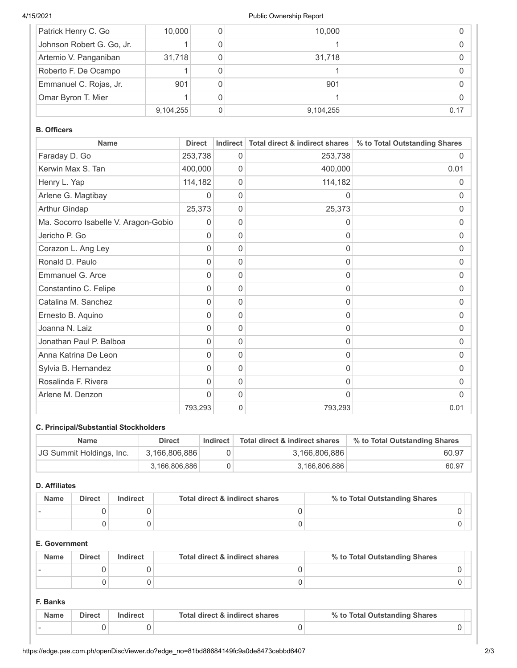#### 4/15/2021 Public Ownership Report

| Patrick Henry C. Go       | 10,000    | 10,000    |      |
|---------------------------|-----------|-----------|------|
| Johnson Robert G. Go, Jr. |           |           |      |
| Artemio V. Panganiban     | 31,718    | 31,718    |      |
| Roberto F. De Ocampo      |           |           |      |
| Emmanuel C. Rojas, Jr.    | 901       | 901       |      |
| Omar Byron T. Mier        |           |           |      |
|                           | 9,104,255 | 9,104,255 | 0.17 |

#### **B. Officers**

| <b>Name</b>                          | <b>Direct</b> | <b>Indirect</b> | <b>Total direct &amp; indirect shares</b> | % to Total Outstanding Shares |
|--------------------------------------|---------------|-----------------|-------------------------------------------|-------------------------------|
| Faraday D. Go                        | 253,738       | 0               | 253,738                                   | O                             |
| Kerwin Max S. Tan                    | 400,000       | 0               | 400,000                                   | 0.01                          |
| Henry L. Yap                         | 114,182       | 0               | 114,182                                   | 0                             |
| Arlene G. Magtibay                   | 0             | 0               | 0                                         | 0                             |
| Arthur Gindap                        | 25,373        | 0               | 25,373                                    | 0                             |
| Ma. Socorro Isabelle V. Aragon-Gobio | 0             | 0               | $\Omega$                                  | 0                             |
| Jericho P. Go                        | 0             | 0               | 0                                         | 0                             |
| Corazon L. Ang Ley                   | 0             | 0               | 0                                         | 0                             |
| Ronald D. Paulo                      | 0             | 0               | 0                                         | 0                             |
| Emmanuel G. Arce                     | 0             | 0               | 0                                         | O                             |
| Constantino C. Felipe                | 0             | 0               | 0                                         | 0                             |
| Catalina M. Sanchez                  | 0             | 0               | 0                                         | 0                             |
| Ernesto B. Aquino                    | 0             | 0               | $\Omega$                                  | 0                             |
| Joanna N. Laiz                       | 0             | 0               | 0                                         | 0                             |
| Jonathan Paul P. Balboa              | 0             | 0               | 0                                         | 0                             |
| Anna Katrina De Leon                 | 0             | 0               | 0                                         | 0                             |
| Sylvia B. Hernandez                  | 0             | 0               | 0                                         | 0                             |
| Rosalinda F. Rivera                  | 0             | 0               | 0                                         | 0                             |
| Arlene M. Denzon                     | $\Omega$      | 0               | 0                                         | O                             |
|                                      | 793,293       | 0               | 793,293                                   | 0.01                          |

# **C. Principal/Substantial Stockholders**

| <b>Name</b>              | Direct        | Indirect | Total direct & indirect shares | % to Total Outstanding Shares |
|--------------------------|---------------|----------|--------------------------------|-------------------------------|
| JG Summit Holdings, Inc. | 3,166,806,886 |          | 3.166.806.886                  | 60.97                         |
|                          | 3,166,806,886 |          | 3.166.806.886                  | 60.97                         |

## **D. Affiliates**

| <b>Name</b> | <b>Direct</b> | Indirect | Total direct & indirect shares | % to Total Outstanding Shares |
|-------------|---------------|----------|--------------------------------|-------------------------------|
|             |               |          |                                |                               |
|             |               |          |                                |                               |

## **E. Government**

| <b>Name</b> | Direct | Indirect | Total direct & indirect shares | % to Total Outstanding Shares |
|-------------|--------|----------|--------------------------------|-------------------------------|
|             |        |          |                                |                               |
|             |        |          |                                |                               |

## **F. Banks**

|  | Direct | Total direct & indirect shares | % to Total Outstanding Shares |  |
|--|--------|--------------------------------|-------------------------------|--|
|  |        |                                |                               |  |